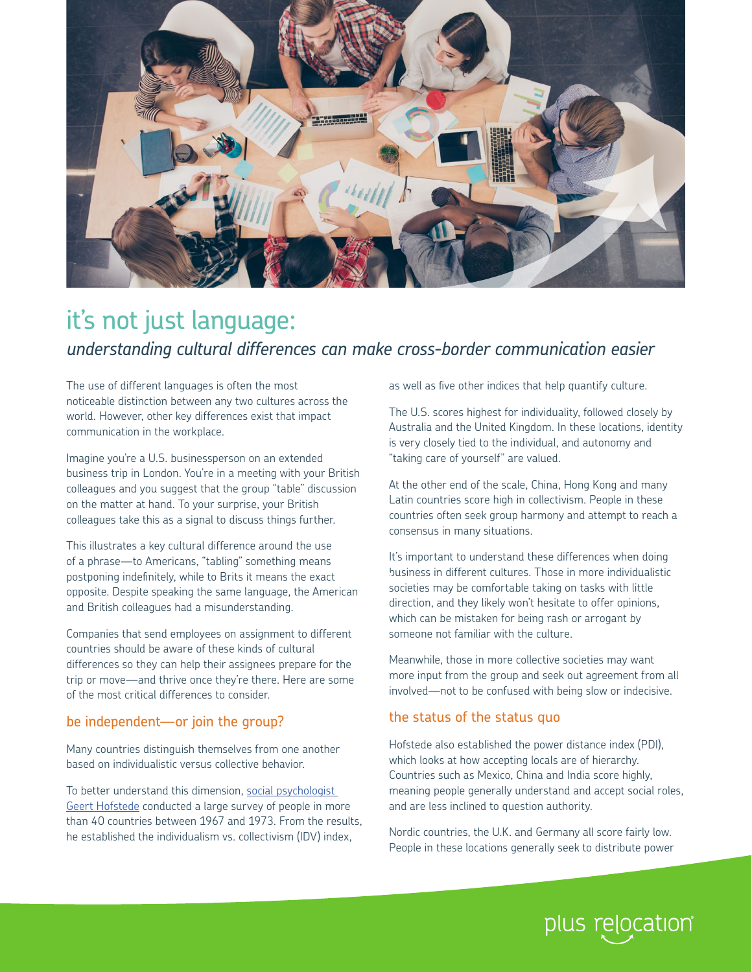

# it's not just language: *understanding cultural differences can make cross-border communication easier*

The use of different languages is often the most noticeable distinction between any two cultures across the world. However, other key differences exist that impact communication in the workplace.

Imagine you're a U.S. businessperson on an extended business trip in London. You're in a meeting with your British colleagues and you suggest that the group "table" discussion on the matter at hand. To your surprise, your British colleagues take this as a signal to discuss things further.

This illustrates a key cultural difference around the use of a phrase—to Americans, "tabling" something means postponing indefinitely, while to Brits it means the exact opposite. Despite speaking the same language, the American and British colleagues had a misunderstanding.

Companies that send employees on assignment to different countries should be aware of these kinds of cultural differences so they can help their assignees prepare for the trip or move—and thrive once they're there. Here are some of the most critical differences to consider.

## be independent—or join the group?

Many countries distinguish themselves from one another based on individualistic versus collective behavior.

To better understand this dimension, [social psychologist](https://www.hofstede-insights.com/)  [Geert Hofstede](https://www.hofstede-insights.com/) conducted a large survey of people in more than 40 countries between 1967 and 1973. From the results, he established the individualism vs. collectivism (IDV) index,

as well as five other indices that help quantify culture.

The U.S. scores highest for individuality, followed closely by Australia and the United Kingdom. In these locations, identity is very closely tied to the individual, and autonomy and "taking care of yourself" are valued.

At the other end of the scale, China, Hong Kong and many Latin countries score high in collectivism. People in these countries often seek group harmony and attempt to reach a consensus in many situations.

It's important to understand these differences when doing business in different cultures. Those in more individualistic pusiness in airierent cultures. Those in more individuali:<br>societies may be comfortable taking on tasks with little direction, and they likely won't hesitate to offer opinions, which can be mistaken for being rash or arrogant by someone not familiar with the culture.

Meanwhile, those in more collective societies may want more input from the group and seek out agreement from all involved—not to be confused with being slow or indecisive.

## the status of the status quo

Hofstede also established the power distance index (PDI), which looks at how accepting locals are of hierarchy. Countries such as Mexico, China and India score highly, meaning people generally understand and accept social roles, and are less inclined to question authority.

Nordic countries, the U.K. and Germany all score fairly low. People in these locations generally seek to distribute power